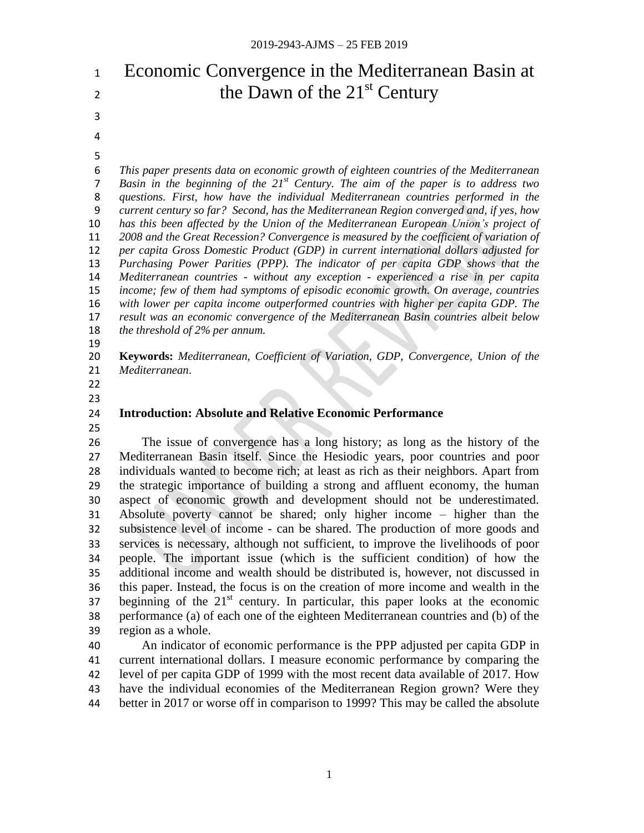# Economic Convergence in the Mediterranean Basin at  $\mu$  the Dawn of the  $21^{\text{st}}$  Century

- 
- 
- 

 *This paper presents data on economic growth of eighteen countries of the Mediterranean P Basin in the beginning of the 21<sup>st</sup> Century. The aim of the paper is to address two questions. First, how have the individual Mediterranean countries performed in the current century so far? Second, has the Mediterranean Region converged and, if yes, how has this been affected by the Union of the Mediterranean European Union's project of 2008 and the Great Recession? Convergence is measured by the coefficient of variation of per capita Gross Domestic Product (GDP) in current international dollars adjusted for Purchasing Power Parities (PPP). The indicator of per capita GDP shows that the Mediterranean countries - without any exception - experienced a rise in per capita income; few of them had symptoms of episodic economic growth. On average, countries with lower per capita income outperformed countries with higher per capita GDP. The result was an economic convergence of the Mediterranean Basin countries albeit below the threshold of 2% per annum.*

 **Keywords:** *Mediterranean, Coefficient of Variation, GDP, Convergence, Union of the Mediterranean*.

# **Introduction: Absolute and Relative Economic Performance**

 The issue of convergence has a long history; as long as the history of the Mediterranean Basin itself. Since the Hesiodic years, poor countries and poor individuals wanted to become rich; at least as rich as their neighbors. Apart from the strategic importance of building a strong and affluent economy, the human aspect of economic growth and development should not be underestimated. Absolute poverty cannot be shared; only higher income – higher than the subsistence level of income - can be shared. The production of more goods and services is necessary, although not sufficient, to improve the livelihoods of poor people. The important issue (which is the sufficient condition) of how the additional income and wealth should be distributed is, however, not discussed in this paper. Instead, the focus is on the creation of more income and wealth in the beginning of the  $21<sup>st</sup>$  century. In particular, this paper looks at the economic performance (a) of each one of the eighteen Mediterranean countries and (b) of the region as a whole.

 An indicator of economic performance is the PPP adjusted per capita GDP in current international dollars. I measure economic performance by comparing the level of per capita GDP of 1999 with the most recent data available of 2017. How have the individual economies of the Mediterranean Region grown? Were they better in 2017 or worse off in comparison to 1999? This may be called the absolute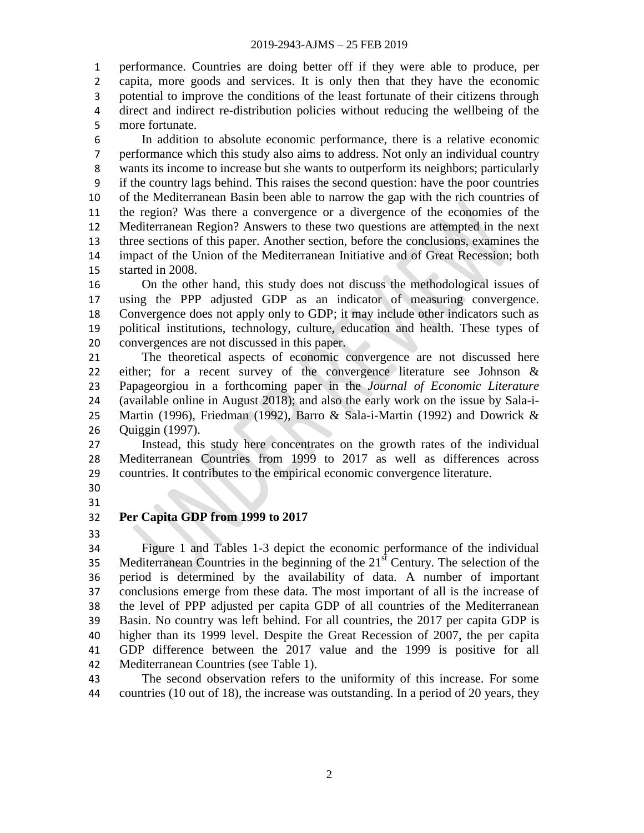performance. Countries are doing better off if they were able to produce, per capita, more goods and services. It is only then that they have the economic potential to improve the conditions of the least fortunate of their citizens through direct and indirect re-distribution policies without reducing the wellbeing of the more fortunate.

 In addition to absolute economic performance, there is a relative economic performance which this study also aims to address. Not only an individual country wants its income to increase but she wants to outperform its neighbors; particularly if the country lags behind. This raises the second question: have the poor countries of the Mediterranean Basin been able to narrow the gap with the rich countries of the region? Was there a convergence or a divergence of the economies of the Mediterranean Region? Answers to these two questions are attempted in the next three sections of this paper. Another section, before the conclusions, examines the impact of the Union of the Mediterranean Initiative and of Great Recession; both started in 2008.

 On the other hand, this study does not discuss the methodological issues of using the PPP adjusted GDP as an indicator of measuring convergence. Convergence does not apply only to GDP; it may include other indicators such as political institutions, technology, culture, education and health. These types of convergences are not discussed in this paper.

 The theoretical aspects of economic convergence are not discussed here either; for a recent survey of the convergence literature see Johnson & Papageorgiou in a forthcoming paper in the *Journal of Economic Literature* (available online in August 2018); and also the early work on the issue by Sala-i- Martin (1996), Friedman (1992), Barro & Sala-i-Martin (1992) and Dowrick & Quiggin (1997).

 Instead, this study here concentrates on the growth rates of the individual Mediterranean Countries from 1999 to 2017 as well as differences across countries. It contributes to the empirical economic convergence literature.

 

# **Per Capita GDP from 1999 to 2017**

 Figure 1 and Tables 1-3 depict the economic performance of the individual 35 Mediterranean Countries in the beginning of the  $21<sup>st</sup>$  Century. The selection of the period is determined by the availability of data. A number of important conclusions emerge from these data. The most important of all is the increase of the level of PPP adjusted per capita GDP of all countries of the Mediterranean Basin. No country was left behind. For all countries, the 2017 per capita GDP is higher than its 1999 level. Despite the Great Recession of 2007, the per capita GDP difference between the 2017 value and the 1999 is positive for all Mediterranean Countries (see Table 1).

 The second observation refers to the uniformity of this increase. For some countries (10 out of 18), the increase was outstanding. In a period of 20 years, they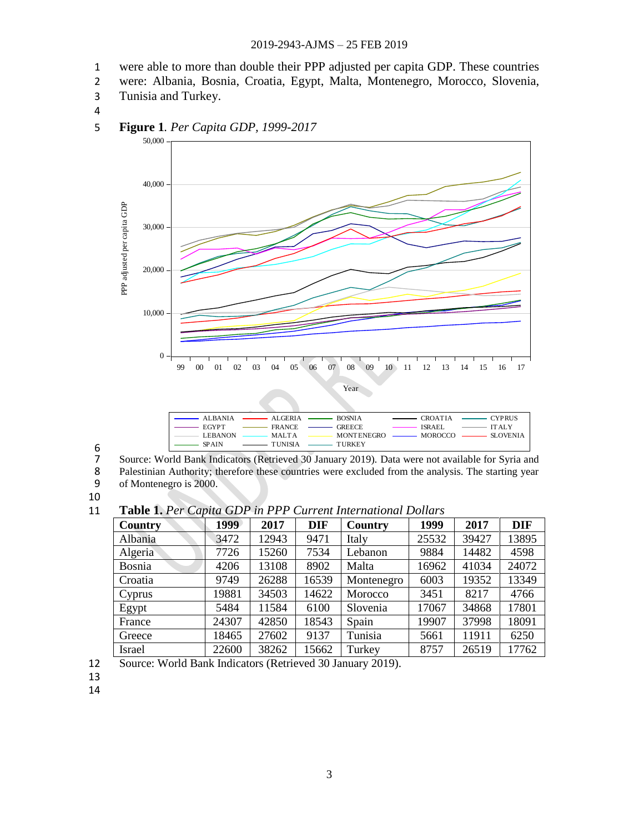- 1 were able to more than double their PPP adjusted per capita GDP. These countries
- 2 were: Albania, Bosnia, Croatia, Egypt, Malta, Montenegro, Morocco, Slovenia,
- 3 Tunisia and Turkey.
- 4



# 5 **Figure 1***. Per Capita GDP, 1999-2017*

6<br>7

7 Source: World Bank Indicators (Retrieved 30 January 2019). Data were not available for Syria and Palestinian Authority; therefore these countries were excluded from the analysis. The starting year 8 Palestinian Authority; therefore these countries were excluded from the analysis. The starting year of Montenegro is 2000.

- 
- of Montenegro is 2000.

10

11 **Table 1.** *Per Capita GDP in PPP Current International Dollars*

| <b>Country</b> | 1999  | 2017  | <b>DIF</b> | Country    | 1999  | 2017  | <b>DIF</b> |
|----------------|-------|-------|------------|------------|-------|-------|------------|
| Albania        | 3472  | 12943 | 9471       | Italy      | 25532 | 39427 | 13895      |
| Algeria        | 7726  | 15260 | 7534       | Lebanon    | 9884  | 14482 | 4598       |
| Bosnia         | 4206  | 13108 | 8902       | Malta      | 16962 | 41034 | 24072      |
| Croatia        | 9749  | 26288 | 16539      | Montenegro | 6003  | 19352 | 13349      |
| Cyprus         | 19881 | 34503 | 14622      | Morocco    | 3451  | 8217  | 4766       |
| Egypt          | 5484  | 11584 | 6100       | Slovenia   | 17067 | 34868 | 17801      |
| France         | 24307 | 42850 | 18543      | Spain      | 19907 | 37998 | 18091      |
| Greece         | 18465 | 27602 | 9137       | Tunisia    | 5661  | 11911 | 6250       |
| <b>Israel</b>  | 22600 | 38262 | 15662      | Turkey     | 8757  | 26519 | 17762      |

12 Source: World Bank Indicators (Retrieved 30 January 2019).

13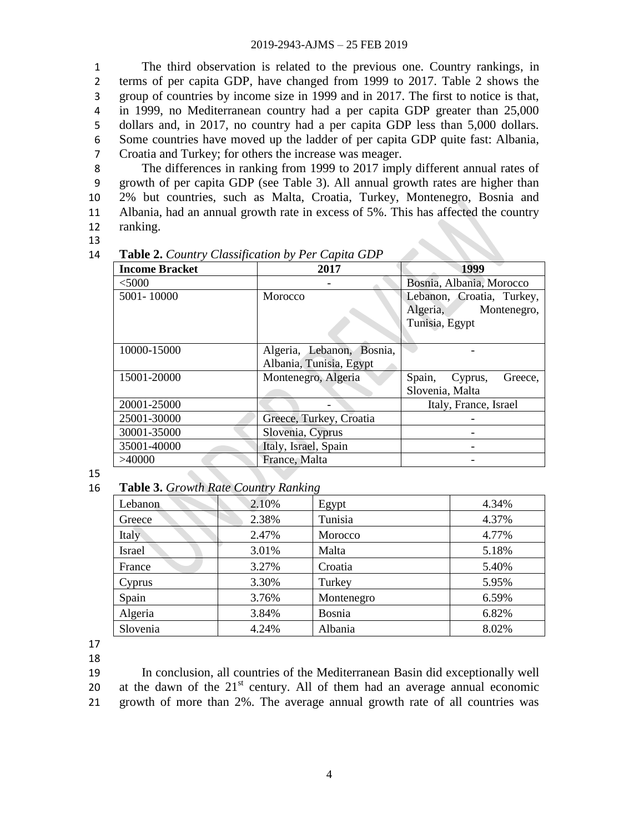The third observation is related to the previous one. Country rankings, in terms of per capita GDP, have changed from 1999 to 2017. Table 2 shows the group of countries by income size in 1999 and in 2017. The first to notice is that, in 1999, no Mediterranean country had a per capita GDP greater than 25,000 dollars and, in 2017, no country had a per capita GDP less than 5,000 dollars. Some countries have moved up the ladder of per capita GDP quite fast: Albania, Croatia and Turkey; for others the increase was meager.

 The differences in ranking from 1999 to 2017 imply different annual rates of growth of per capita GDP (see Table 3). All annual growth rates are higher than 2% but countries, such as Malta, Croatia, Turkey, Montenegro, Bosnia and Albania, had an annual growth rate in excess of 5%. This has affected the country 12 ranking.

13

| <b>Income Bracket</b> | 2017                      | 1999                         |  |  |
|-----------------------|---------------------------|------------------------------|--|--|
| $<$ 5000              |                           | Bosnia, Albania, Morocco     |  |  |
| 5001-10000            | Morocco                   | Lebanon, Croatia, Turkey,    |  |  |
|                       |                           | Montenegro,<br>Algeria,      |  |  |
|                       |                           | Tunisia, Egypt               |  |  |
|                       |                           |                              |  |  |
| 10000-15000           | Algeria, Lebanon, Bosnia, |                              |  |  |
|                       | Albania, Tunisia, Egypt   |                              |  |  |
| 15001-20000           | Montenegro, Algeria       | Spain,<br>Greece,<br>Cyprus, |  |  |
|                       |                           | Slovenia, Malta              |  |  |
| 20001-25000           |                           | Italy, France, Israel        |  |  |
| 25001-30000           | Greece, Turkey, Croatia   |                              |  |  |
| 30001-35000           | Slovenia, Cyprus          |                              |  |  |
| 35001-40000           | Italy, Israel, Spain      |                              |  |  |
| >40000                | France, Malta             |                              |  |  |

14 **Table 2.** *Country Classification by Per Capita GDP*

15

# 16 **Table 3.** *Growth Rate Country Ranking*

| Lebanon  | 2.10% | Egypt      | 4.34% |
|----------|-------|------------|-------|
| Greece   | 2.38% | Tunisia    | 4.37% |
| Italy    | 2.47% | Morocco    | 4.77% |
| Israel   | 3.01% | Malta      | 5.18% |
| France   | 3.27% | Croatia    | 5.40% |
| Cyprus   | 3.30% | Turkey     | 5.95% |
| Spain    | 3.76% | Montenegro | 6.59% |
| Algeria  | 3.84% | Bosnia     | 6.82% |
| Slovenia | 4.24% | Albania    | 8.02% |

17

18

19 In conclusion, all countries of the Mediterranean Basin did exceptionally well 20 at the dawn of the  $21<sup>st</sup>$  century. All of them had an average annual economic 21 growth of more than 2%. The average annual growth rate of all countries was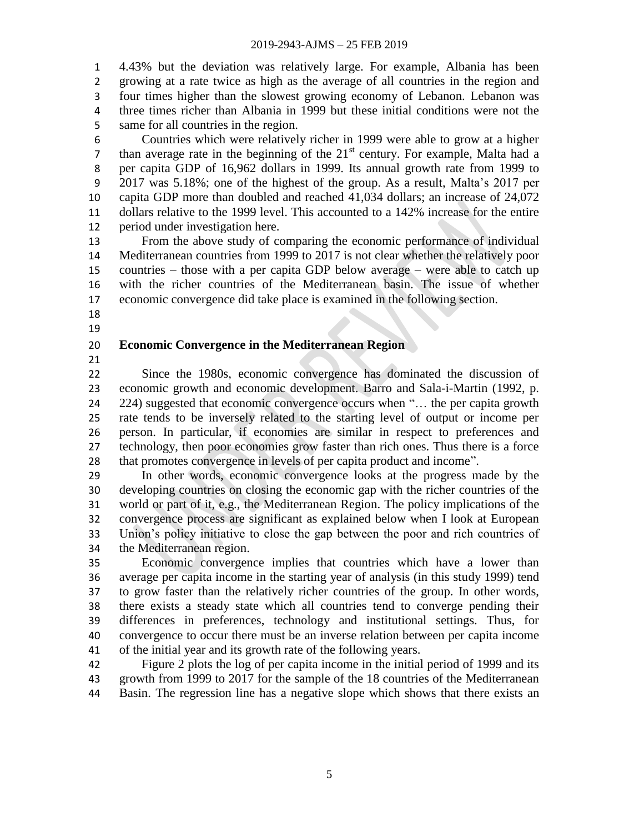4.43% but the deviation was relatively large. For example, Albania has been growing at a rate twice as high as the average of all countries in the region and four times higher than the slowest growing economy of Lebanon. Lebanon was three times richer than Albania in 1999 but these initial conditions were not the same for all countries in the region.

 Countries which were relatively richer in 1999 were able to grow at a higher 7 than average rate in the beginning of the  $21<sup>st</sup>$  century. For example, Malta had a per capita GDP of 16,962 dollars in 1999. Its annual growth rate from 1999 to 2017 was 5.18%; one of the highest of the group. As a result, Malta's 2017 per capita GDP more than doubled and reached 41,034 dollars; an increase of 24,072 dollars relative to the 1999 level. This accounted to a 142% increase for the entire period under investigation here.

 From the above study of comparing the economic performance of individual Mediterranean countries from 1999 to 2017 is not clear whether the relatively poor countries – those with a per capita GDP below average – were able to catch up with the richer countries of the Mediterranean basin. The issue of whether economic convergence did take place is examined in the following section.

 

# **Economic Convergence in the Mediterranean Region**

 Since the 1980s, economic convergence has dominated the discussion of economic growth and economic development. Barro and Sala-i-Martin (1992, p. 224) suggested that economic convergence occurs when "… the per capita growth rate tends to be inversely related to the starting level of output or income per person. In particular, if economies are similar in respect to preferences and technology, then poor economies grow faster than rich ones. Thus there is a force that promotes convergence in levels of per capita product and income".

 In other words, economic convergence looks at the progress made by the developing countries on closing the economic gap with the richer countries of the world or part of it, e.g., the Mediterranean Region. The policy implications of the convergence process are significant as explained below when I look at European Union's policy initiative to close the gap between the poor and rich countries of the Mediterranean region.

 Economic convergence implies that countries which have a lower than average per capita income in the starting year of analysis (in this study 1999) tend to grow faster than the relatively richer countries of the group. In other words, there exists a steady state which all countries tend to converge pending their differences in preferences, technology and institutional settings. Thus, for convergence to occur there must be an inverse relation between per capita income of the initial year and its growth rate of the following years.

 Figure 2 plots the log of per capita income in the initial period of 1999 and its growth from 1999 to 2017 for the sample of the 18 countries of the Mediterranean Basin. The regression line has a negative slope which shows that there exists an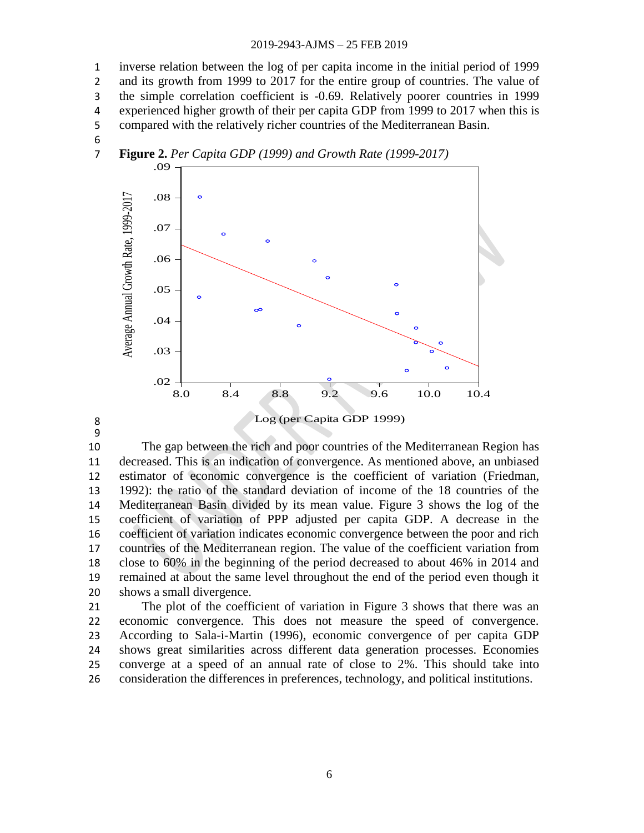inverse relation between the log of per capita income in the initial period of 1999 2 and its growth from 1999 to 2017 for the entire group of countries. The value of the simple correlation coefficient is -0.69. Relatively poorer countries in 1999 experienced higher growth of their per capita GDP from 1999 to 2017 when this is compared with the relatively richer countries of the Mediterranean Basin.



**Figure 2.** *Per Capita GDP (1999) and Growth Rate (1999-2017)*

 

 The gap between the rich and poor countries of the Mediterranean Region has decreased. This is an indication of convergence. As mentioned above, an unbiased estimator of economic convergence is the coefficient of variation (Friedman, 1992): the ratio of the standard deviation of income of the 18 countries of the Mediterranean Basin divided by its mean value. Figure 3 shows the log of the coefficient of variation of PPP adjusted per capita GDP. A decrease in the coefficient of variation indicates economic convergence between the poor and rich countries of the Mediterranean region. The value of the coefficient variation from close to 60% in the beginning of the period decreased to about 46% in 2014 and remained at about the same level throughout the end of the period even though it shows a small divergence.

 The plot of the coefficient of variation in Figure 3 shows that there was an economic convergence. This does not measure the speed of convergence. According to Sala-i-Martin (1996), economic convergence of per capita GDP shows great similarities across different data generation processes. Economies converge at a speed of an annual rate of close to 2%. This should take into consideration the differences in preferences, technology, and political institutions.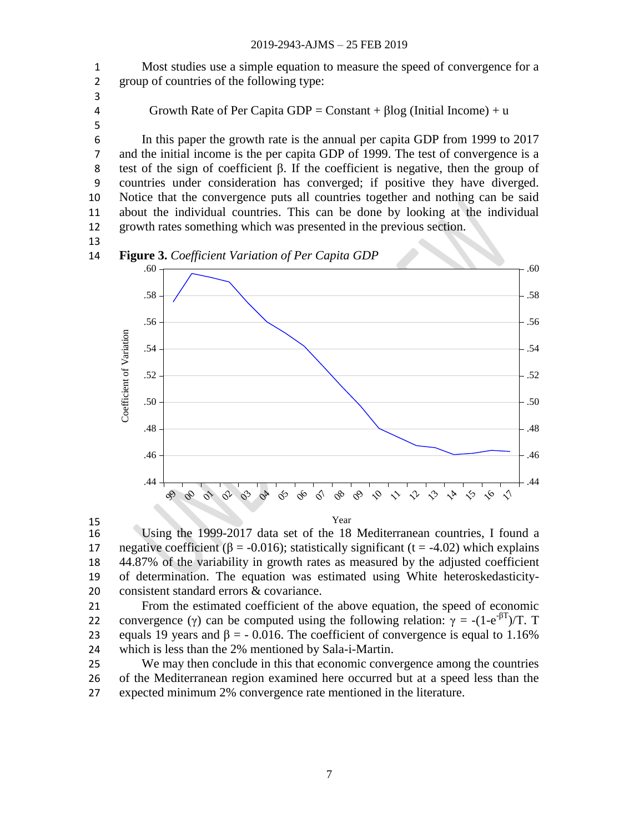Most studies use a simple equation to measure the speed of convergence for a group of countries of the following type:

- 
- 

4 Growth Rate of Per Capita  $GDP = Constant + \beta log (Initial Income) + u$ 

 In this paper the growth rate is the annual per capita GDP from 1999 to 2017 and the initial income is the per capita GDP of 1999. The test of convergence is a test of the sign of coefficient β. If the coefficient is negative, then the group of countries under consideration has converged; if positive they have diverged. Notice that the convergence puts all countries together and nothing can be said about the individual countries. This can be done by looking at the individual growth rates something which was presented in the previous section.

**Figure 3.** *Coefficient Variation of Per Capita GDP*



 $\frac{15}{16}$ 

Using the 1999-2017 data set of the 18 Mediterranean countries, I found a 17 negative coefficient ( $\beta$  = -0.016); statistically significant (t = -4.02) which explains 44.87% of the variability in growth rates as measured by the adjusted coefficient of determination. The equation was estimated using White heteroskedasticity-consistent standard errors & covariance.

 From the estimated coefficient of the above equation, the speed of economic 22 convergence (γ) can be computed using the following relation:  $\gamma = -(1-e^{-\beta T})/T$ . T 23 equals 19 years and  $\beta$  = -0.016. The coefficient of convergence is equal to 1.16% which is less than the 2% mentioned by Sala-i-Martin.

 We may then conclude in this that economic convergence among the countries of the Mediterranean region examined here occurred but at a speed less than the expected minimum 2% convergence rate mentioned in the literature.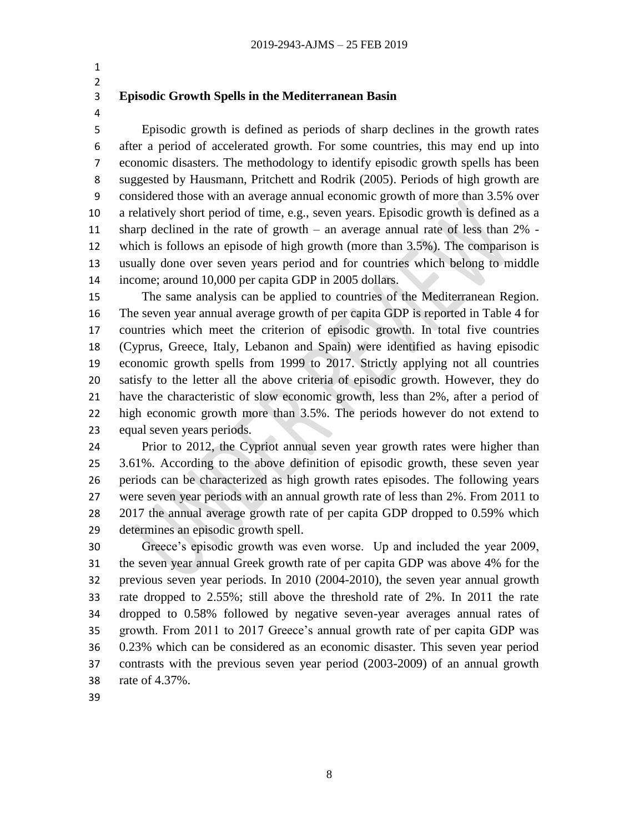- 
- **Episodic Growth Spells in the Mediterranean Basin**
- 

 Episodic growth is defined as periods of sharp declines in the growth rates after a period of accelerated growth. For some countries, this may end up into economic disasters. The methodology to identify episodic growth spells has been suggested by Hausmann, Pritchett and Rodrik (2005). Periods of high growth are considered those with an average annual economic growth of more than 3.5% over a relatively short period of time, e.g., seven years. Episodic growth is defined as a sharp declined in the rate of growth – an average annual rate of less than 2% - which is follows an episode of high growth (more than 3.5%). The comparison is usually done over seven years period and for countries which belong to middle income; around 10,000 per capita GDP in 2005 dollars.

 The same analysis can be applied to countries of the Mediterranean Region. The seven year annual average growth of per capita GDP is reported in Table 4 for countries which meet the criterion of episodic growth. In total five countries (Cyprus, Greece, Italy, Lebanon and Spain) were identified as having episodic economic growth spells from 1999 to 2017. Strictly applying not all countries satisfy to the letter all the above criteria of episodic growth. However, they do have the characteristic of slow economic growth, less than 2%, after a period of high economic growth more than 3.5%. The periods however do not extend to equal seven years periods.

 Prior to 2012, the Cypriot annual seven year growth rates were higher than 3.61%. According to the above definition of episodic growth, these seven year periods can be characterized as high growth rates episodes. The following years were seven year periods with an annual growth rate of less than 2%. From 2011 to 2017 the annual average growth rate of per capita GDP dropped to 0.59% which determines an episodic growth spell.

 Greece's episodic growth was even worse. Up and included the year 2009, the seven year annual Greek growth rate of per capita GDP was above 4% for the previous seven year periods. In 2010 (2004-2010), the seven year annual growth rate dropped to 2.55%; still above the threshold rate of 2%. In 2011 the rate dropped to 0.58% followed by negative seven-year averages annual rates of growth. From 2011 to 2017 Greece's annual growth rate of per capita GDP was 0.23% which can be considered as an economic disaster. This seven year period contrasts with the previous seven year period (2003-2009) of an annual growth rate of 4.37%.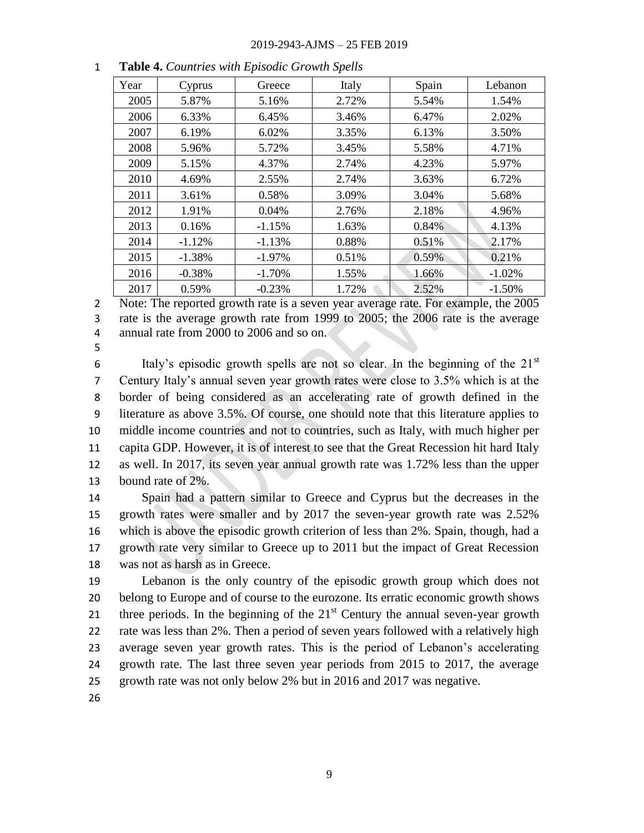| Year | Cyprus   | Greece    | Italy | Spain | Lebanon  |
|------|----------|-----------|-------|-------|----------|
| 2005 | 5.87%    | 5.16%     | 2.72% | 5.54% | 1.54%    |
| 2006 | 6.33%    | 6.45%     | 3.46% | 6.47% | 2.02%    |
| 2007 | 6.19%    | 6.02%     | 3.35% | 6.13% | 3.50%    |
| 2008 | 5.96%    | 5.72%     | 3.45% | 5.58% | 4.71%    |
| 2009 | 5.15%    | 4.37%     | 2.74% | 4.23% | 5.97%    |
| 2010 | 4.69%    | 2.55%     | 2.74% | 3.63% | 6.72%    |
| 2011 | 3.61%    | 0.58%     | 3.09% | 3.04% | 5.68%    |
| 2012 | 1.91%    | $0.04\%$  | 2.76% | 2.18% | 4.96%    |
| 2013 | 0.16%    | $-1.15%$  | 1.63% | 0.84% | 4.13%    |
| 2014 | $-1.12%$ | $-1.13%$  | 0.88% | 0.51% | 2.17%    |
| 2015 | $-1.38%$ | $-1.97\%$ | 0.51% | 0.59% | 0.21%    |
| 2016 | $-0.38%$ | $-1.70\%$ | 1.55% | 1.66% | $-1.02%$ |
| 2017 | 0.59%    | $-0.23%$  | 1.72% | 2.52% | $-1.50%$ |

**Table 4.** *Countries with Episodic Growth Spells*

 Note: The reported growth rate is a seven year average rate. For example, the 2005 rate is the average growth rate from 1999 to 2005; the 2006 rate is the average annual rate from 2000 to 2006 and so on.

6 Italy's episodic growth spells are not so clear. In the beginning of the  $21<sup>st</sup>$  Century Italy's annual seven year growth rates were close to 3.5% which is at the border of being considered as an accelerating rate of growth defined in the literature as above 3.5%. Of course, one should note that this literature applies to middle income countries and not to countries, such as Italy, with much higher per capita GDP. However, it is of interest to see that the Great Recession hit hard Italy as well. In 2017, its seven year annual growth rate was 1.72% less than the upper bound rate of 2%.

 Spain had a pattern similar to Greece and Cyprus but the decreases in the growth rates were smaller and by 2017 the seven-year growth rate was 2.52% which is above the episodic growth criterion of less than 2%. Spain, though, had a growth rate very similar to Greece up to 2011 but the impact of Great Recession was not as harsh as in Greece.

 Lebanon is the only country of the episodic growth group which does not belong to Europe and of course to the eurozone. Its erratic economic growth shows 21 three periods. In the beginning of the  $21<sup>st</sup>$  Century the annual seven-year growth rate was less than 2%. Then a period of seven years followed with a relatively high average seven year growth rates. This is the period of Lebanon's accelerating growth rate. The last three seven year periods from 2015 to 2017, the average growth rate was not only below 2% but in 2016 and 2017 was negative.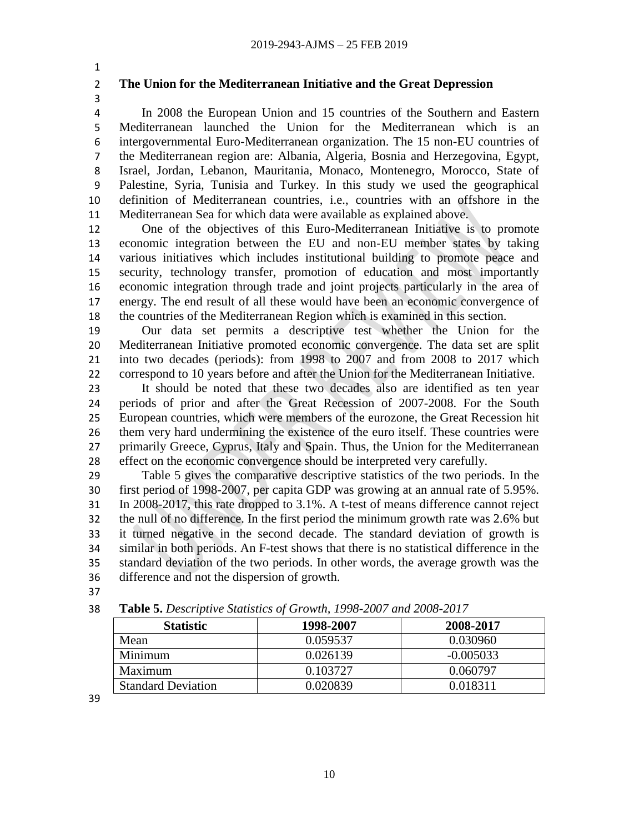# **The Union for the Mediterranean Initiative and the Great Depression**

 In 2008 the European Union and 15 countries of the Southern and Eastern Mediterranean launched the Union for the Mediterranean which is an intergovernmental Euro-Mediterranean organization. The 15 non-EU countries of the Mediterranean region are: Albania, Algeria, Bosnia and Herzegovina, Egypt, Israel, Jordan, Lebanon, Mauritania, Monaco, Montenegro, Morocco, State of Palestine, Syria, Tunisia and Turkey. In this study we used the geographical definition of Mediterranean countries, i.e., countries with an offshore in the Mediterranean Sea for which data were available as explained above.

 One of the objectives of this Euro-Mediterranean Initiative is to promote economic integration between the EU and non-EU member states by taking various initiatives which includes institutional building to promote peace and security, technology transfer, promotion of education and most importantly economic integration through trade and joint projects particularly in the area of energy. The end result of all these would have been an economic convergence of the countries of the Mediterranean Region which is examined in this section.

 Our data set permits a descriptive test whether the Union for the Mediterranean Initiative promoted economic convergence. The data set are split into two decades (periods): from 1998 to 2007 and from 2008 to 2017 which correspond to 10 years before and after the Union for the Mediterranean Initiative.

 It should be noted that these two decades also are identified as ten year periods of prior and after the Great Recession of 2007-2008. For the South European countries, which were members of the eurozone, the Great Recession hit them very hard undermining the existence of the euro itself. These countries were primarily Greece, Cyprus, Italy and Spain. Thus, the Union for the Mediterranean effect on the economic convergence should be interpreted very carefully.

 Table 5 gives the comparative descriptive statistics of the two periods. In the first period of 1998-2007, per capita GDP was growing at an annual rate of 5.95%. In 2008-2017, this rate dropped to 3.1%. A t-test of means difference cannot reject the null of no difference. In the first period the minimum growth rate was 2.6% but it turned negative in the second decade. The standard deviation of growth is similar in both periods. An F-test shows that there is no statistical difference in the standard deviation of the two periods. In other words, the average growth was the difference and not the dispersion of growth.

| <b>Statistic</b>          | 1998-2007 | 2008-2017   |
|---------------------------|-----------|-------------|
| Mean                      | 0.059537  | 0.030960    |
| Minimum                   | 0.026139  | $-0.005033$ |
| Maximum                   | 0.103727  | 0.060797    |
| <b>Standard Deviation</b> | 0.020839  | 0.018311    |

**Table 5.** *Descriptive Statistics of Growth, 1998-2007 and 2008-2017*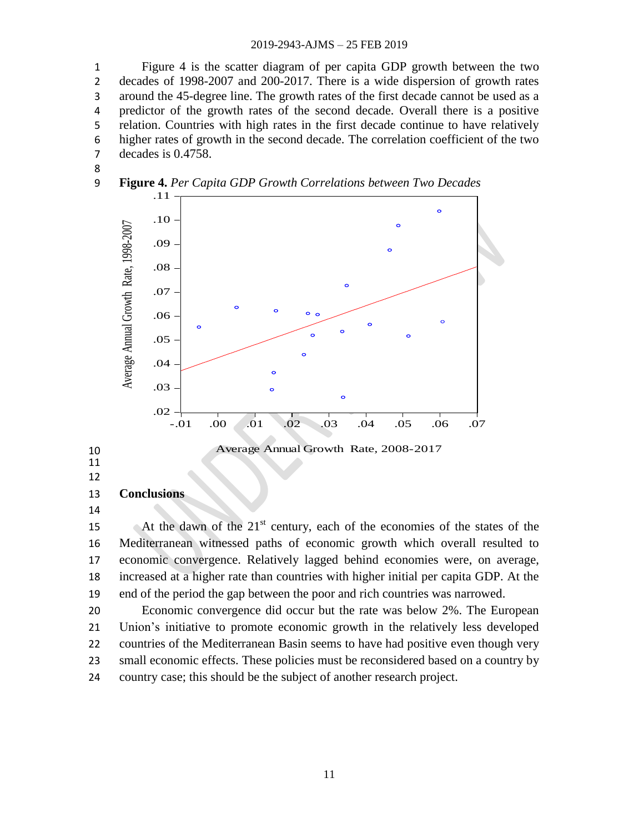Figure 4 is the scatter diagram of per capita GDP growth between the two decades of 1998-2007 and 200-2017. There is a wide dispersion of growth rates around the 45-degree line. The growth rates of the first decade cannot be used as a predictor of the growth rates of the second decade. Overall there is a positive relation. Countries with high rates in the first decade continue to have relatively higher rates of growth in the second decade. The correlation coefficient of the two decades is 0.4758.





Average Annual Growth Rate, 2008-2017

- 
- 

# **Conclusions**

 $\Delta t$  the dawn of the 21<sup>st</sup> century, each of the economies of the states of the Mediterranean witnessed paths of economic growth which overall resulted to economic convergence. Relatively lagged behind economies were, on average, increased at a higher rate than countries with higher initial per capita GDP. At the end of the period the gap between the poor and rich countries was narrowed.

 Economic convergence did occur but the rate was below 2%. The European Union's initiative to promote economic growth in the relatively less developed countries of the Mediterranean Basin seems to have had positive even though very small economic effects. These policies must be reconsidered based on a country by country case; this should be the subject of another research project.